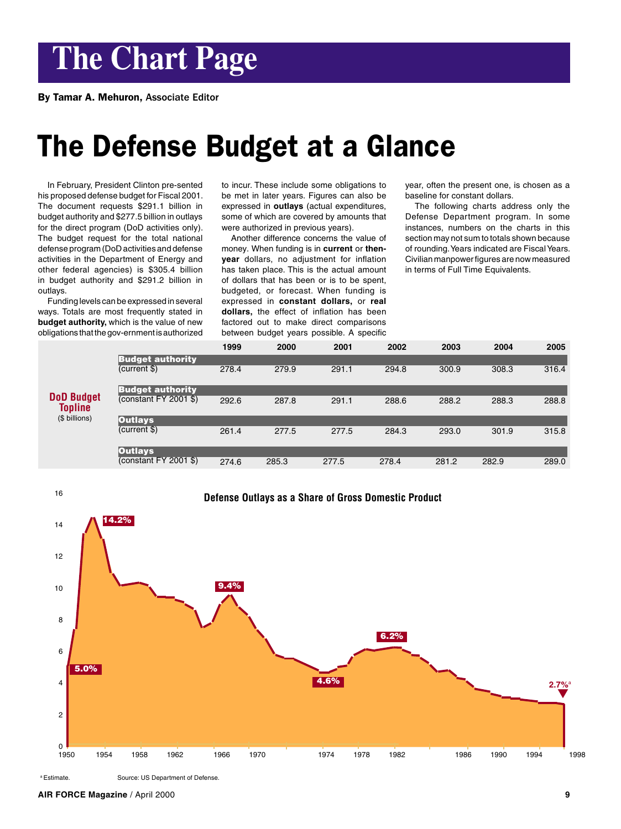# **The Chart Page**

By Tamar A. Mehuron, Associate Editor

## The Defense Budget at a Glance

In February, President Clinton pre-sented his proposed defense budget for Fiscal 2001. The document requests \$291.1 billion in budget authority and \$277.5 billion in outlays for the direct program (DoD activities only). The budget request for the total national defense program (DoD activities and defense activities in the Department of Energy and other federal agencies) is \$305.4 billion in budget authority and \$291.2 billion in outlays.

Funding levels can be expressed in several ways. Totals are most frequently stated in **budget authority,** which is the value of new obligations that the gov-ernment is authorized to incur. These include some obligations to be met in later years. Figures can also be expressed in **outlays** (actual expenditures, some of which are covered by amounts that were authorized in previous years).

Another difference concerns the value of money. When funding is in **current** or **thenyear** dollars, no adjustment for inflation has taken place. This is the actual amount of dollars that has been or is to be spent, budgeted, or forecast. When funding is expressed in **constant dollars,** or **real dollars,** the effect of inflation has been factored out to make direct comparisons between budget years possible. A specific

year, often the present one, is chosen as a baseline for constant dollars.

The following charts address only the Defense Department program. In some instances, numbers on the charts in this section may not sum to totals shown because of rounding. Years indicated are Fiscal Years. Civilian manpower figures are now measured in terms of Full Time Equivalents.

|                                                      |                                                    | 1999  | 2000  | 2001  | 2002  | 2003  | 2004  | 2005  |
|------------------------------------------------------|----------------------------------------------------|-------|-------|-------|-------|-------|-------|-------|
| <b>DoD Budget</b><br><b>Topline</b><br>(\$ billions) | <b>Budget authority</b><br>(current \$)            | 278.4 | 279.9 | 291.1 | 294.8 | 300.9 | 308.3 | 316.4 |
|                                                      | <b>Budget authority</b><br>(constant $FY$ 2001 \$) | 292.6 | 287.8 | 291.1 | 288.6 | 288.2 | 288.3 | 288.8 |
|                                                      | <b>Outlays</b><br>(current \$)                     | 261.4 | 277.5 | 277.5 | 284.3 | 293.0 | 301.9 | 315.8 |
|                                                      | Outlays,<br>(constant FY 2001 \$)                  | 274.6 | 285.3 | 277.5 | 278.4 | 281.2 | 282.9 | 289.0 |



a Estimate. Source: US Department of Defense.

**AIR FORCE Magazine** / April 2000 **9**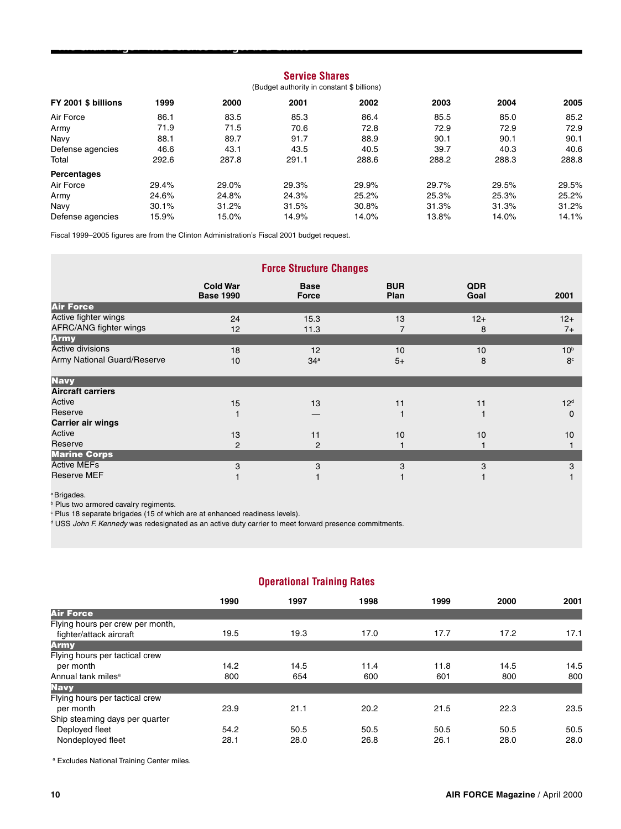## **Service Shares**

## (Budget authority in constant \$ billions)

| FY 2001 \$ billions | 1999  | 2000  | 2001  | 2002  | 2003  | 2004  | 2005  |
|---------------------|-------|-------|-------|-------|-------|-------|-------|
| Air Force           | 86.1  | 83.5  | 85.3  | 86.4  | 85.5  | 85.0  | 85.2  |
| Army                | 71.9  | 71.5  | 70.6  | 72.8  | 72.9  | 72.9  | 72.9  |
| Navy                | 88.1  | 89.7  | 91.7  | 88.9  | 90.1  | 90.1  | 90.1  |
| Defense agencies    | 46.6  | 43.1  | 43.5  | 40.5  | 39.7  | 40.3  | 40.6  |
| Total               | 292.6 | 287.8 | 291.1 | 288.6 | 288.2 | 288.3 | 288.8 |
| <b>Percentages</b>  |       |       |       |       |       |       |       |
| Air Force           | 29.4% | 29.0% | 29.3% | 29.9% | 29.7% | 29.5% | 29.5% |
| Army                | 24.6% | 24.8% | 24.3% | 25.2% | 25.3% | 25.3% | 25.2% |
| Navv                | 30.1% | 31.2% | 31.5% | 30.8% | 31.3% | 31.3% | 31.2% |
| Defense agencies    | 15.9% | 15.0% | 14.9% | 14.0% | 13.8% | 14.0% | 14.1% |

Fiscal 1999–2005 figures are from the Clinton Administration's Fiscal 2001 budget request.

The Chart Page / The Defense Budget at a Glance

|                                                 |                                     | <b>Force Structure Changes</b> |                    |                    |                                   |
|-------------------------------------------------|-------------------------------------|--------------------------------|--------------------|--------------------|-----------------------------------|
|                                                 | <b>Cold War</b><br><b>Base 1990</b> | <b>Base</b><br>Force           | <b>BUR</b><br>Plan | <b>QDR</b><br>Goal | 2001                              |
| <b>Air Force</b>                                |                                     |                                |                    |                    |                                   |
| Active fighter wings<br>AFRC/ANG fighter wings  | 24<br>12                            | 15.3<br>11.3                   | 13<br>7            | $12+$<br>8         | $12+$<br>$7+$                     |
| <b>Army</b>                                     |                                     |                                |                    |                    |                                   |
| Active divisions<br>Army National Guard/Reserve | 18<br>10                            | 12<br>34 <sup>a</sup>          | 10<br>$5+$         | 10<br>8            | 10 <sup>b</sup><br>8 <sup>c</sup> |
| <b>Navy</b>                                     |                                     |                                |                    |                    |                                   |
| <b>Aircraft carriers</b>                        |                                     |                                |                    |                    |                                   |
| Active                                          | 15                                  | 13                             | 11                 | 11                 | 12 <sup>d</sup>                   |
| Reserve                                         |                                     |                                |                    |                    | $\mathbf 0$                       |
| <b>Carrier air wings</b>                        |                                     |                                |                    |                    |                                   |
| Active                                          | 13                                  | 11                             | 10                 | 10                 | 10                                |
| Reserve                                         | 2                                   | 2                              |                    |                    |                                   |
| <b>Marine Corps</b>                             |                                     |                                |                    |                    |                                   |
| <b>Active MEFs</b>                              | 3                                   | 3                              | 3                  | 3                  | 3                                 |
| <b>Reserve MEF</b>                              |                                     |                                |                    |                    |                                   |

a Brigades.

**Plus two armored cavalry regiments.** 

c Plus 18 separate brigades (15 of which are at enhanced readiness levels).

<sup>d</sup> USS John F. Kennedy was redesignated as an active duty carrier to meet forward presence commitments.

## **Operational Training Rates**

|                                  | 1990 | 1997 | 1998 | 1999 | 2000 | 2001 |
|----------------------------------|------|------|------|------|------|------|
| <b>Air Force</b>                 |      |      |      |      |      |      |
| Flying hours per crew per month, |      |      |      |      |      |      |
| fighter/attack aircraft          | 19.5 | 19.3 | 17.0 | 17.7 | 17.2 | 17.1 |
| <b>Army</b>                      |      |      |      |      |      |      |
| Flying hours per tactical crew   |      |      |      |      |      |      |
| per month                        | 14.2 | 14.5 | 11.4 | 11.8 | 14.5 | 14.5 |
| Annual tank miles <sup>a</sup>   | 800  | 654  | 600  | 601  | 800  | 800  |
| <b>Navy</b>                      |      |      |      |      |      |      |
| Flying hours per tactical crew   |      |      |      |      |      |      |
| per month                        | 23.9 | 21.1 | 20.2 | 21.5 | 22.3 | 23.5 |
| Ship steaming days per quarter   |      |      |      |      |      |      |
| Deployed fleet                   | 54.2 | 50.5 | 50.5 | 50.5 | 50.5 | 50.5 |
| Nondeployed fleet                | 28.1 | 28.0 | 26.8 | 26.1 | 28.0 | 28.0 |
|                                  |      |      |      |      |      |      |

a Excludes National Training Center miles.